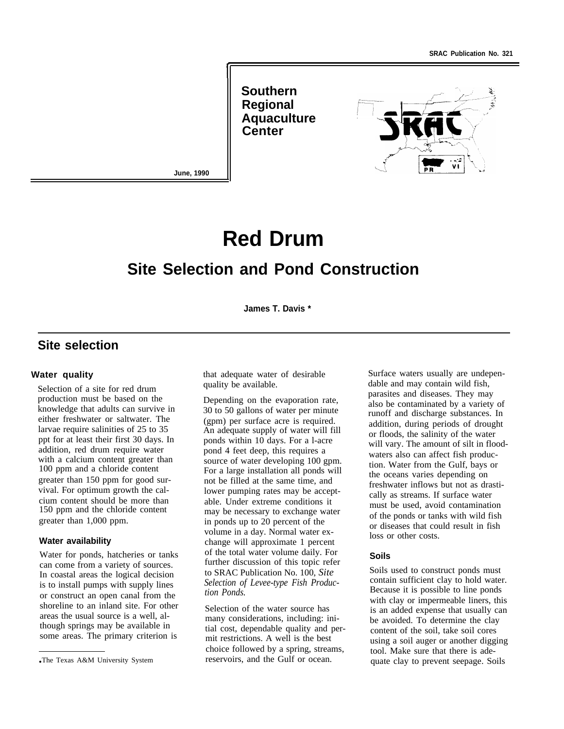**Southern Regional Aquaculture Center**



**June, 1990**

# **Red Drum**

# **Site Selection and Pond Construction**

**James T. Davis \***

## **Site selection**

#### **Water quality**

Selection of a site for red drum production must be based on the knowledge that adults can survive in either freshwater or saltwater. The larvae require salinities of 25 to 35 ppt for at least their first 30 days. In addition, red drum require water with a calcium content greater than 100 ppm and a chloride content greater than 150 ppm for good survival. For optimum growth the calcium content should be more than 150 ppm and the chloride content greater than 1,000 ppm.

#### **Water availability**

Water for ponds, hatcheries or tanks can come from a variety of sources. In coastal areas the logical decision is to install pumps with supply lines or construct an open canal from the shoreline to an inland site. For other areas the usual source is a well, although springs may be available in some areas. The primary criterion is

that adequate water of desirable quality be available.

Depending on the evaporation rate, 30 to 50 gallons of water per minute (gpm) per surface acre is required. An adequate supply of water will fill ponds within 10 days. For a l-acre pond 4 feet deep, this requires a source of water developing 100 gpm. For a large installation all ponds will not be filled at the same time, and lower pumping rates may be acceptable. Under extreme conditions it may be necessary to exchange water in ponds up to 20 percent of the volume in a day. Normal water exchange will approximate 1 percent of the total water volume daily. For further discussion of this topic refer to SRAC Publication No. 100, *Site Selection of Levee-type Fish Production Ponds.*

Selection of the water source has many considerations, including: initial cost, dependable quality and permit restrictions. A well is the best choice followed by a spring, streams, reservoirs, and the Gulf or ocean.

Surface waters usually are undependable and may contain wild fish, parasites and diseases. They may also be contaminated by a variety of runoff and discharge substances. In addition, during periods of drought or floods, the salinity of the water will vary. The amount of silt in floodwaters also can affect fish production. Water from the Gulf, bays or the oceans varies depending on freshwater inflows but not as drastically as streams. If surface water must be used, avoid contamination of the ponds or tanks with wild fish or diseases that could result in fish loss or other costs.

#### **Soils**

Soils used to construct ponds must contain sufficient clay to hold water. Because it is possible to line ponds with clay or impermeable liners, this is an added expense that usually can be avoided. To determine the clay content of the soil, take soil cores using a soil auger or another digging tool. Make sure that there is adequate clay to prevent seepage. Soils

<sup>●</sup> The Texas A&M University System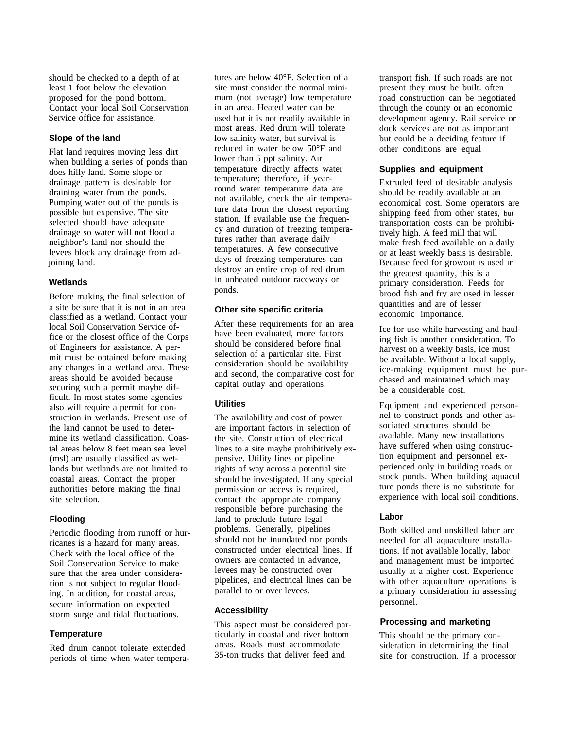should be checked to a depth of at least 1 foot below the elevation proposed for the pond bottom. Contact your local Soil Conservation Service office for assistance.

#### **Slope of the land**

Flat land requires moving less dirt when building a series of ponds than does hilly land. Some slope or drainage pattern is desirable for draining water from the ponds. Pumping water out of the ponds is possible but expensive. The site selected should have adequate drainage so water will not flood a neighbor's land nor should the levees block any drainage from adjoining land.

#### **Wetlands**

Before making the final selection of a site be sure that it is not in an area classified as a wetland. Contact your local Soil Conservation Service office or the closest office of the Corps of Engineers for assistance. A permit must be obtained before making any changes in a wetland area. These areas should be avoided because securing such a permit maybe difficult. In most states some agencies also will require a permit for construction in wetlands. Present use of the land cannot be used to determine its wetland classification. Coastal areas below 8 feet mean sea level (msl) are usually classified as wetlands but wetlands are not limited to coastal areas. Contact the proper authorities before making the final site selection.

#### **Flooding**

Periodic flooding from runoff or hurricanes is a hazard for many areas. Check with the local office of the Soil Conservation Service to make sure that the area under consideration is not subject to regular flooding. In addition, for coastal areas, secure information on expected storm surge and tidal fluctuations.

#### **Temperature**

Red drum cannot tolerate extended periods of time when water temperatures are below 40°F. Selection of a site must consider the normal minimum (not average) low temperature in an area. Heated water can be used but it is not readily available in most areas. Red drum will tolerate low salinity water, but survival is reduced in water below 50°F and lower than 5 ppt salinity. Air temperature directly affects water temperature; therefore, if yearround water temperature data are not available, check the air temperature data from the closest reporting station. If available use the frequency and duration of freezing temperatures rather than average daily temperatures. A few consecutive days of freezing temperatures can destroy an entire crop of red drum in unheated outdoor raceways or ponds.

#### **Other site specific criteria**

After these requirements for an area have been evaluated, more factors should be considered before final selection of a particular site. First consideration should be availability and second, the comparative cost for capital outlay and operations.

#### **Utilities**

The availability and cost of power are important factors in selection of the site. Construction of electrical lines to a site maybe prohibitively expensive. Utility lines or pipeline rights of way across a potential site should be investigated. If any special permission or access is required, contact the appropriate company responsible before purchasing the land to preclude future legal problems. Generally, pipelines should not be inundated nor ponds constructed under electrical lines. If owners are contacted in advance, levees may be constructed over pipelines, and electrical lines can be parallel to or over levees.

#### **Accessibility**

This aspect must be considered particularly in coastal and river bottom areas. Roads must accommodate 35-ton trucks that deliver feed and

transport fish. If such roads are not present they must be built. often road construction can be negotiated through the county or an economic development agency. Rail service or dock services are not as important but could be a deciding feature if other conditions are equal

#### **Supplies and equipment**

Extruded feed of desirable analysis should be readily available at an economical cost. Some operators are shipping feed from other states, but transportation costs can be prohibitively high. A feed mill that will make fresh feed available on a daily or at least weekly basis is desirable. Because feed for growout is used in the greatest quantity, this is a primary consideration. Feeds for brood fish and fry arc used in lesser quantities and are of lesser economic importance.

Ice for use while harvesting and hauling fish is another consideration. To harvest on a weekly basis, ice must be available. Without a local supply, ice-making equipment must be purchased and maintained which may be a considerable cost.

Equipment and experienced personnel to construct ponds and other associated structures should be available. Many new installations have suffered when using construction equipment and personnel experienced only in building roads or stock ponds. When building aquacul ture ponds there is no substitute for experience with local soil conditions.

#### **Labor**

Both skilled and unskilled labor arc needed for all aquaculture installations. If not available locally, labor and management must be imported usually at a higher cost. Experience with other aquaculture operations is a primary consideration in assessing personnel.

#### **Processing and marketing**

This should be the primary consideration in determining the final site for construction. If a processor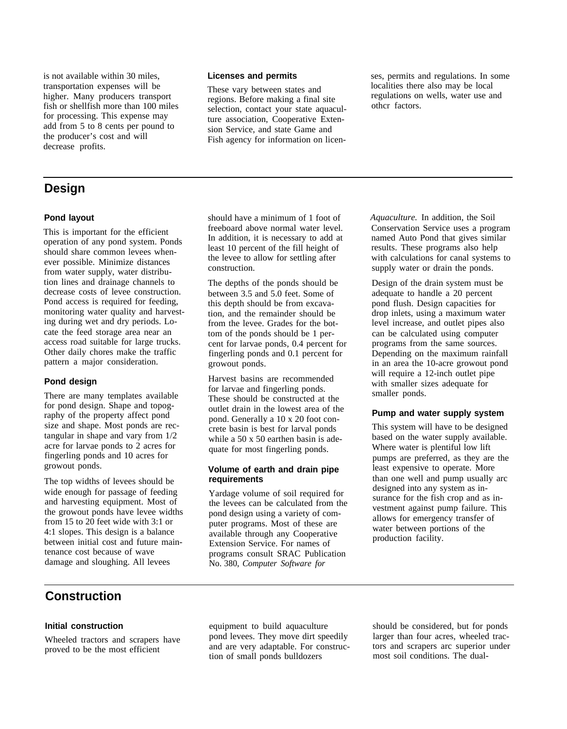add from 5 to 8 cents per pound to the producer's cost and will decrease profits.

# **Design**

### **Pond layout**

This is important for the efficient operation of any pond system. Ponds should share common levees whenever possible. Minimize distances from water supply, water distribution lines and drainage channels to decrease costs of levee construction. Pond access is required for feeding, monitoring water quality and harvesting during wet and dry periods. Locate the feed storage area near an access road suitable for large trucks. Other daily chores make the traffic pattern a major consideration.

### **Pond design**

There are many templates available for pond design. Shape and topography of the property affect pond size and shape. Most ponds are rectangular in shape and vary from 1/2 acre for larvae ponds to 2 acres for fingerling ponds and 10 acres for growout ponds.

The top widths of levees should be wide enough for passage of feeding and harvesting equipment. Most of the growout ponds have levee widths from 15 to 20 feet wide with 3:1 or 4:1 slopes. This design is a balance between initial cost and future maintenance cost because of wave damage and sloughing. All levees

transportation expenses will be These vary between states and localities there also may be local<br>higher. Many producers transport regions Before making a final site regulations on wells, water use and regions. Before making a final site regulations on regulations on wells, water a green wells, water and wells, water use and wells, water use and wells, water use and wells, water use and wells, water use and wells. The co fish or shellfish more than 100 miles<br>for processing. This expense may selection, contact your state aquaculture association, Cooperative Extension Service, and state Game and Fish agency for information on licen-

is not available within 30 miles,<br> **Licenses and permits** ses, permits and regulations. In some<br> **Licenses and permits** ses, permits and regulations. In some<br>
localities there also may be local

should have a minimum of 1 foot of freeboard above normal water level. In addition, it is necessary to add at least 10 percent of the fill height of the levee to allow for settling after construction.

The depths of the ponds should be between 3.5 and 5.0 feet. Some of this depth should be from excavation, and the remainder should be from the levee. Grades for the bottom of the ponds should be 1 percent for larvae ponds, 0.4 percent for fingerling ponds and 0.1 percent for growout ponds.

Harvest basins are recommended for larvae and fingerling ponds. These should be constructed at the outlet drain in the lowest area of the pond. Generally a 10 x 20 foot concrete basin is best for larval ponds while a 50 x 50 earthen basin is adequate for most fingerling ponds.

#### **Volume of earth and drain pipe requirements**

Yardage volume of soil required for the levees can be calculated from the pond design using a variety of computer programs. Most of these are available through any Cooperative Extension Service. For names of programs consult SRAC Publication No. 380, *Computer Software for*

*Aquaculture.* In addition, the Soil Conservation Service uses a program named Auto Pond that gives similar results. These programs also help with calculations for canal systems to supply water or drain the ponds.

Design of the drain system must be adequate to handle a 20 percent pond flush. Design capacities for drop inlets, using a maximum water level increase, and outlet pipes also can be calculated using computer programs from the same sources. Depending on the maximum rainfall in an area the 10-acre growout pond will require a 12-inch outlet pipe with smaller sizes adequate for smaller ponds.

#### **Pump and water supply system**

This system will have to be designed based on the water supply available. Where water is plentiful low lift pumps are preferred, as they are the least expensive to operate. More than one well and pump usually arc designed into any system as insurance for the fish crop and as investment against pump failure. This allows for emergency transfer of water between portions of the production facility.

## **Construction**

Wheeled tractors and scrapers have pond levees. They move dirt speedily larger than four acres, wheeled trac-<br>and are very adaptable. For constructions and scrapers are superior under proved to be the most efficient and are very adaptable. For construc-<br>tors and scrapers arc superior<br>most soil conditions. The dualtion of small ponds bulldozers

**Initial construction** equipment to build aquaculture should be considered, but for ponds